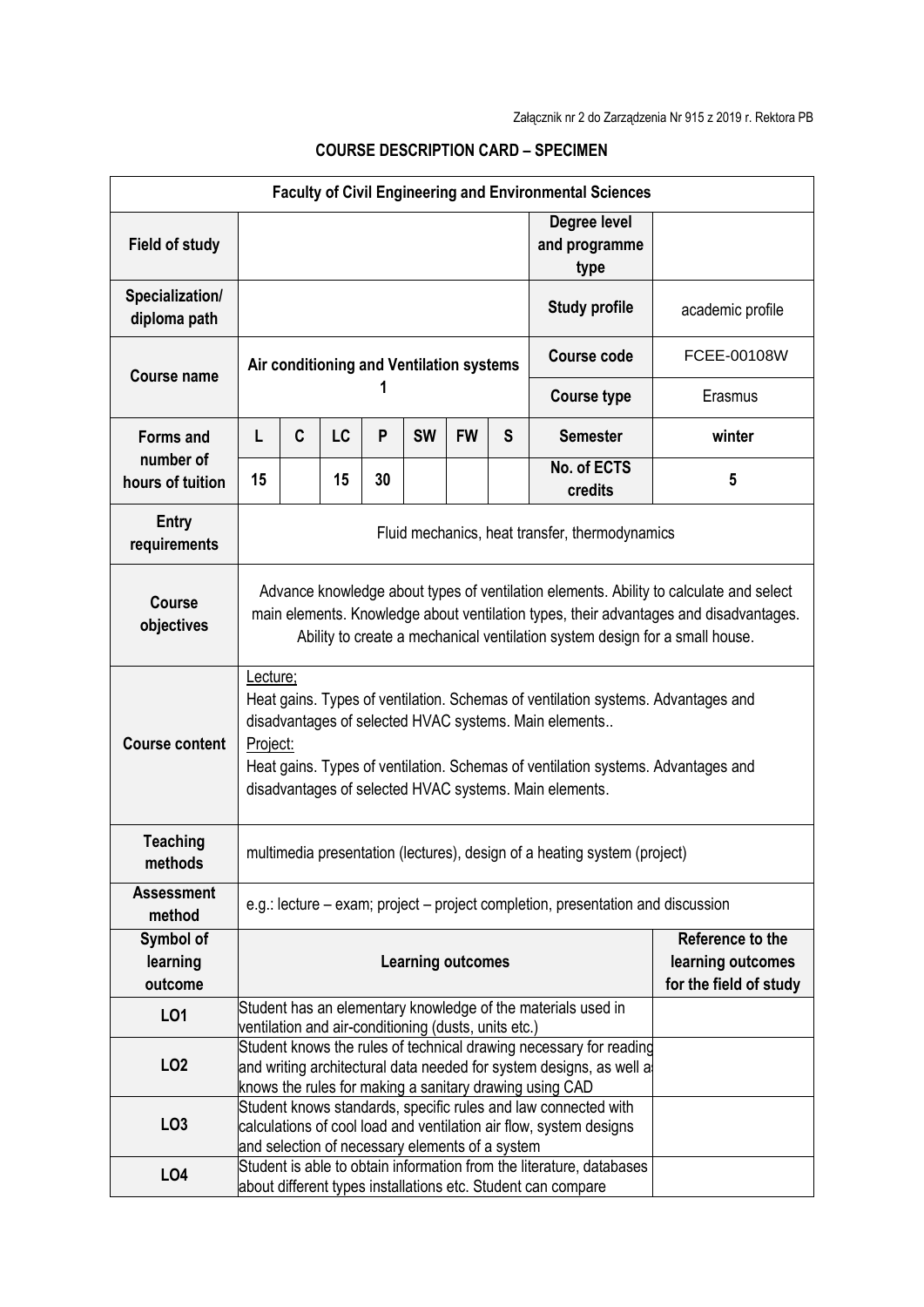| <b>Faculty of Civil Engineering and Environmental Sciences</b> |                                                                                                                                                                                                                                                                                                                 |                                                                                                                                                                                                      |    |                          |           |                                                                 |   |                                       |                  |  |  |
|----------------------------------------------------------------|-----------------------------------------------------------------------------------------------------------------------------------------------------------------------------------------------------------------------------------------------------------------------------------------------------------------|------------------------------------------------------------------------------------------------------------------------------------------------------------------------------------------------------|----|--------------------------|-----------|-----------------------------------------------------------------|---|---------------------------------------|------------------|--|--|
| <b>Field of study</b>                                          |                                                                                                                                                                                                                                                                                                                 |                                                                                                                                                                                                      |    |                          |           |                                                                 |   | Degree level<br>and programme<br>type |                  |  |  |
| Specialization/<br>diploma path                                |                                                                                                                                                                                                                                                                                                                 |                                                                                                                                                                                                      |    |                          |           |                                                                 |   | <b>Study profile</b>                  | academic profile |  |  |
| <b>Course name</b>                                             | Air conditioning and Ventilation systems                                                                                                                                                                                                                                                                        |                                                                                                                                                                                                      |    |                          |           |                                                                 |   | <b>Course code</b>                    | FCEE-00108W      |  |  |
|                                                                |                                                                                                                                                                                                                                                                                                                 |                                                                                                                                                                                                      |    |                          |           |                                                                 |   | <b>Course type</b>                    | Erasmus          |  |  |
| <b>Forms and</b><br>number of<br>hours of tuition              | L                                                                                                                                                                                                                                                                                                               | C                                                                                                                                                                                                    | LC | P                        | <b>SW</b> | <b>FW</b>                                                       | S | <b>Semester</b>                       | winter           |  |  |
|                                                                | 15                                                                                                                                                                                                                                                                                                              |                                                                                                                                                                                                      | 15 | 30                       |           |                                                                 |   | No. of ECTS<br>credits                | 5                |  |  |
| <b>Entry</b><br>requirements                                   | Fluid mechanics, heat transfer, thermodynamics                                                                                                                                                                                                                                                                  |                                                                                                                                                                                                      |    |                          |           |                                                                 |   |                                       |                  |  |  |
| <b>Course</b><br>objectives                                    | Advance knowledge about types of ventilation elements. Ability to calculate and select<br>main elements. Knowledge about ventilation types, their advantages and disadvantages.<br>Ability to create a mechanical ventilation system design for a small house.                                                  |                                                                                                                                                                                                      |    |                          |           |                                                                 |   |                                       |                  |  |  |
| <b>Course content</b>                                          | Lecture;<br>Heat gains. Types of ventilation. Schemas of ventilation systems. Advantages and<br>disadvantages of selected HVAC systems. Main elements<br>Project:<br>Heat gains. Types of ventilation. Schemas of ventilation systems. Advantages and<br>disadvantages of selected HVAC systems. Main elements. |                                                                                                                                                                                                      |    |                          |           |                                                                 |   |                                       |                  |  |  |
| <b>Teaching</b><br>methods                                     | multimedia presentation (lectures), design of a heating system (project)                                                                                                                                                                                                                                        |                                                                                                                                                                                                      |    |                          |           |                                                                 |   |                                       |                  |  |  |
| <b>Assessment</b><br>method                                    | e.g.: lecture – exam; project – project completion, presentation and discussion                                                                                                                                                                                                                                 |                                                                                                                                                                                                      |    |                          |           |                                                                 |   |                                       |                  |  |  |
| Symbol of<br>learning<br>outcome                               |                                                                                                                                                                                                                                                                                                                 |                                                                                                                                                                                                      |    | <b>Learning outcomes</b> |           | Reference to the<br>learning outcomes<br>for the field of study |   |                                       |                  |  |  |
| <b>LO1</b>                                                     |                                                                                                                                                                                                                                                                                                                 | Student has an elementary knowledge of the materials used in<br>ventilation and air-conditioning (dusts, units etc.)                                                                                 |    |                          |           |                                                                 |   |                                       |                  |  |  |
| LO <sub>2</sub>                                                |                                                                                                                                                                                                                                                                                                                 | Student knows the rules of technical drawing necessary for reading<br>and writing architectural data needed for system designs, as well a<br>knows the rules for making a sanitary drawing using CAD |    |                          |           |                                                                 |   |                                       |                  |  |  |
| LO <sub>3</sub>                                                |                                                                                                                                                                                                                                                                                                                 | Student knows standards, specific rules and law connected with<br>calculations of cool load and ventilation air flow, system designs<br>and selection of necessary elements of a system              |    |                          |           |                                                                 |   |                                       |                  |  |  |
| LO <sub>4</sub>                                                | Student is able to obtain information from the literature, databases<br>about different types installations etc. Student can compare                                                                                                                                                                            |                                                                                                                                                                                                      |    |                          |           |                                                                 |   |                                       |                  |  |  |

## **COURSE DESCRIPTION CARD – SPECIMEN**